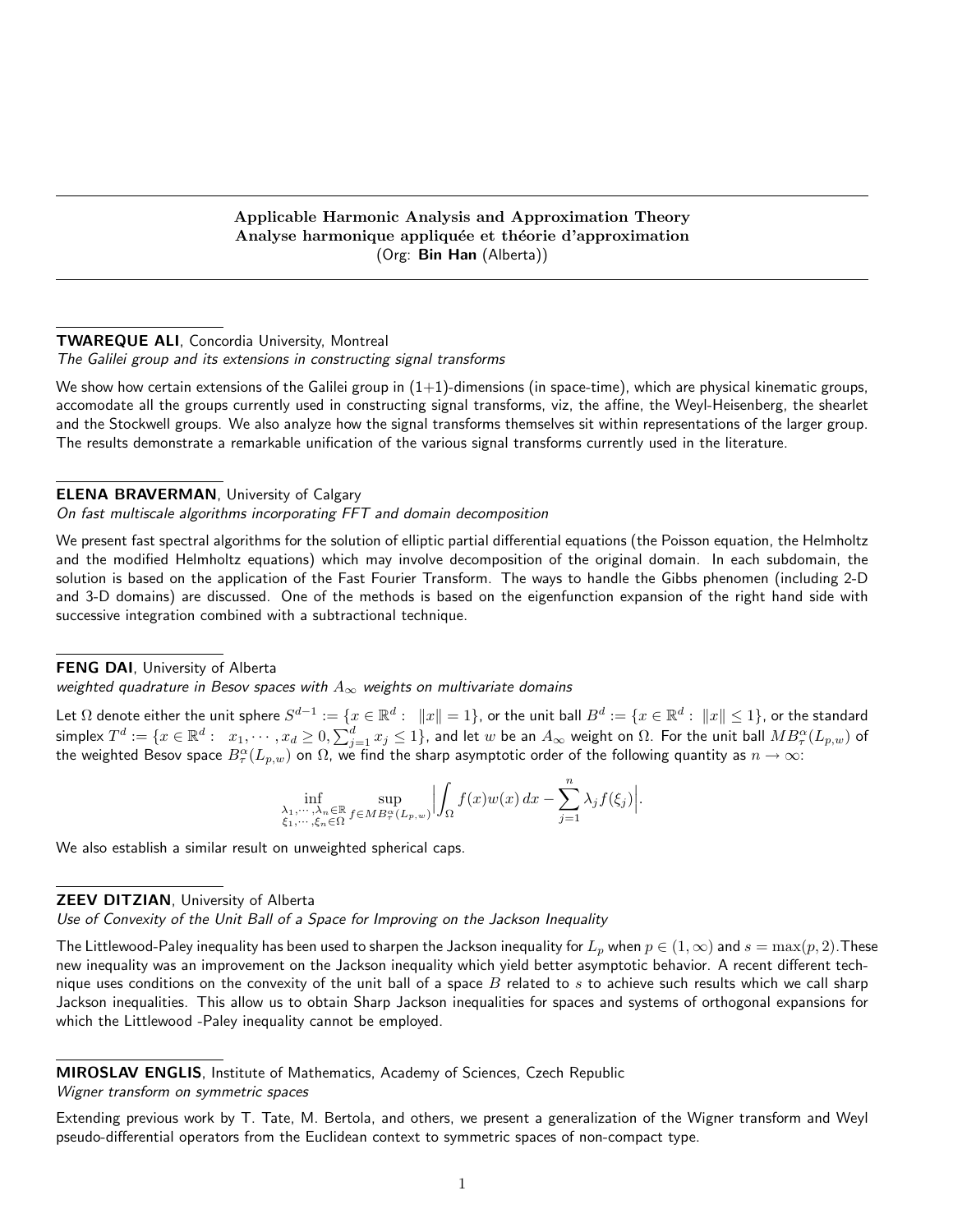# Applicable Harmonic Analysis and Approximation Theory Analyse harmonique appliquée et théorie d'approximation (Org: Bin Han (Alberta))

## TWAREQUE ALI, Concordia University, Montreal

The Galilei group and its extensions in constructing signal transforms

We show how certain extensions of the Galilei group in  $(1+1)$ -dimensions (in space-time), which are physical kinematic groups, accomodate all the groups currently used in constructing signal transforms, viz, the affine, the Weyl-Heisenberg, the shearlet and the Stockwell groups. We also analyze how the signal transforms themselves sit within representations of the larger group. The results demonstrate a remarkable unification of the various signal transforms currently used in the literature.

# ELENA BRAVERMAN, University of Calgary

# On fast multiscale algorithms incorporating FFT and domain decomposition

We present fast spectral algorithms for the solution of elliptic partial differential equations (the Poisson equation, the Helmholtz and the modified Helmholtz equations) which may involve decomposition of the original domain. In each subdomain, the solution is based on the application of the Fast Fourier Transform. The ways to handle the Gibbs phenomen (including 2-D and 3-D domains) are discussed. One of the methods is based on the eigenfunction expansion of the right hand side with successive integration combined with a subtractional technique.

#### FENG DAI, University of Alberta

weighted quadrature in Besov spaces with  $A_\infty$  weights on multivariate domains

Let  $\Omega$  denote either the unit sphere  $S^{d-1}:=\{x\in\mathbb{R}^d:\ \ \|x\|=1\},$  or the unit ball  $B^d:=\{x\in\mathbb{R}^d:\ \|x\|\leq 1\},$  or the standard simplex  $T^d:=\{x\in\mathbb{R}^d:\ \ x_1,\cdots,x_d\geq 0, \sum_{j=1}^dx_j\leq 1\},$  and let  $w$  be an  $A_\infty$  weight on  $\Omega.$  For the unit ball  $MB_\tau^\alpha(L_{p,w})$  of the weighted Besov space  $B^\alpha_\tau(L_{p,w})$  on  $\Omega$ , we find the sharp asymptotic order of the following quantity as  $n\to\infty$ :

$$
\inf_{\substack{\lambda_1,\cdots,\lambda_n\in\mathbb{R} \\ \xi_1,\cdots,\xi_n\in\Omega}} \sup_{f\in MB^{\alpha}_{\tau}(L_{p,w})} \Big| \int_{\Omega} f(x)w(x) dx - \sum_{j=1}^n \lambda_j f(\xi_j) \Big|.
$$

We also establish a similar result on unweighted spherical caps.

# **ZEEV DITZIAN, University of Alberta**

Use of Convexity of the Unit Ball of a Space for Improving on the Jackson Inequality

The Littlewood-Paley inequality has been used to sharpen the Jackson inequality for  $L_p$  when  $p \in (1,\infty)$  and  $s = \max(p, 2)$ . These new inequality was an improvement on the Jackson inequality which yield better asymptotic behavior. A recent different technique uses conditions on the convexity of the unit ball of a space  $B$  related to  $s$  to achieve such results which we call sharp Jackson inequalities. This allow us to obtain Sharp Jackson inequalities for spaces and systems of orthogonal expansions for which the Littlewood -Paley inequality cannot be employed.

#### MIROSLAV ENGLIS, Institute of Mathematics, Academy of Sciences, Czech Republic

Wigner transform on symmetric spaces

Extending previous work by T. Tate, M. Bertola, and others, we present a generalization of the Wigner transform and Weyl pseudo-differential operators from the Euclidean context to symmetric spaces of non-compact type.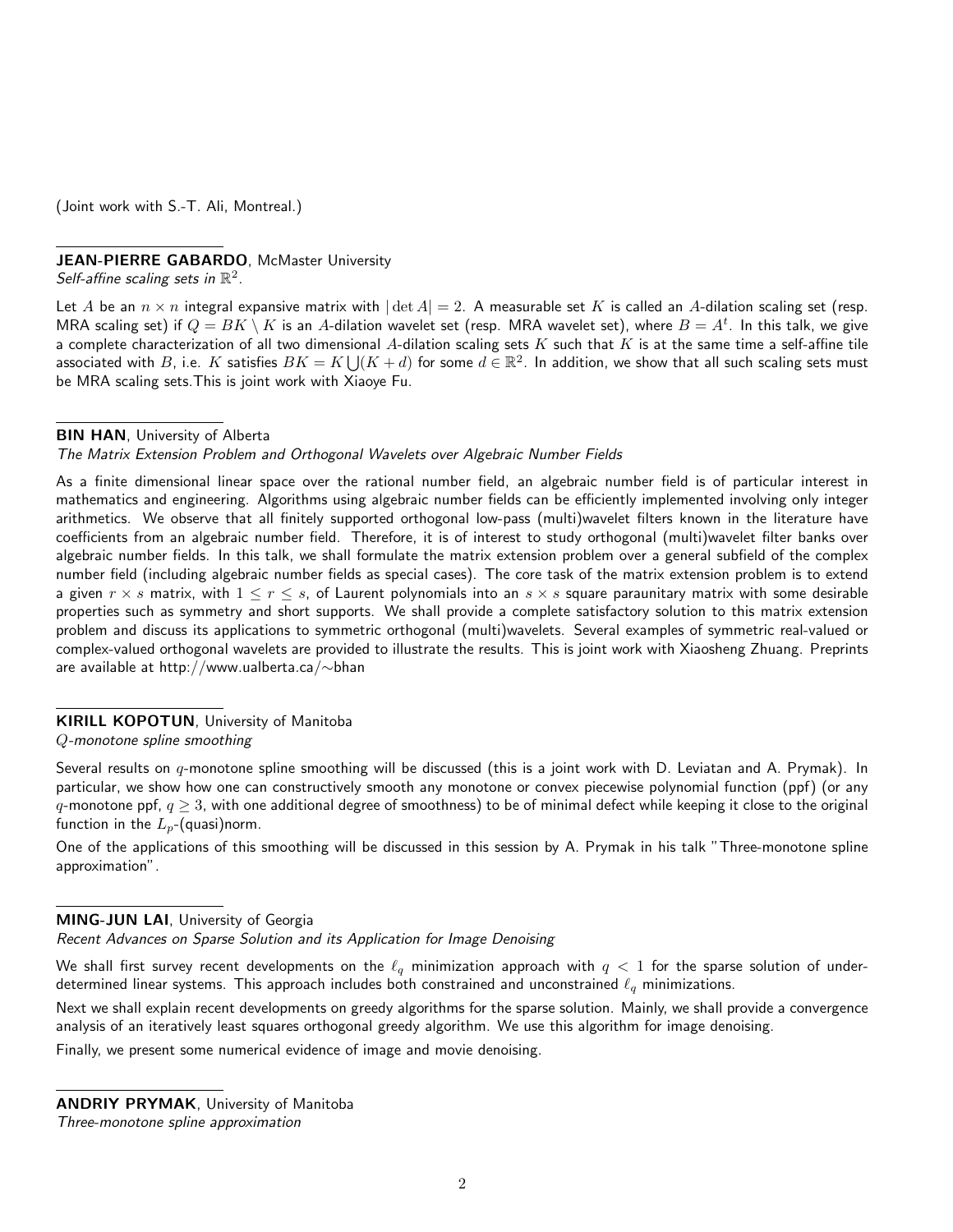(Joint work with S.-T. Ali, Montreal.)

# JEAN-PIERRE GABARDO, McMaster University

Self-affine scaling sets in  $\mathbb{R}^2$ .

Let A be an  $n \times n$  integral expansive matrix with  $|\det A| = 2$ . A measurable set K is called an A-dilation scaling set (resp. MRA scaling set) if  $Q=BK\setminus K$  is an  $A$ -dilation wavelet set (resp. MRA wavelet set), where  $B=A^t.$  In this talk, we give a complete characterization of all two dimensional A-dilation scaling sets K such that K is at the same time a self-affine tile associated with  $B$ , i.e.  $K$  satisfies  $BK=K\bigcup (K+d)$  for some  $d\in \mathbb{R}^2.$  In addition, we show that all such scaling sets must be MRA scaling sets.This is joint work with Xiaoye Fu.

**BIN HAN**, University of Alberta

#### The Matrix Extension Problem and Orthogonal Wavelets over Algebraic Number Fields

As a finite dimensional linear space over the rational number field, an algebraic number field is of particular interest in mathematics and engineering. Algorithms using algebraic number fields can be efficiently implemented involving only integer arithmetics. We observe that all finitely supported orthogonal low-pass (multi)wavelet filters known in the literature have coefficients from an algebraic number field. Therefore, it is of interest to study orthogonal (multi)wavelet filter banks over algebraic number fields. In this talk, we shall formulate the matrix extension problem over a general subfield of the complex number field (including algebraic number fields as special cases). The core task of the matrix extension problem is to extend a given  $r \times s$  matrix, with  $1 \leq r \leq s$ , of Laurent polynomials into an  $s \times s$  square paraunitary matrix with some desirable properties such as symmetry and short supports. We shall provide a complete satisfactory solution to this matrix extension problem and discuss its applications to symmetric orthogonal (multi)wavelets. Several examples of symmetric real-valued or complex-valued orthogonal wavelets are provided to illustrate the results. This is joint work with Xiaosheng Zhuang. Preprints are available at http://www.ualberta.ca/∼bhan

# KIRILL KOPOTUN, University of Manitoba

Q-monotone spline smoothing

Several results on  $q$ -monotone spline smoothing will be discussed (this is a joint work with D. Leviatan and A. Prymak). In particular, we show how one can constructively smooth any monotone or convex piecewise polynomial function (ppf) (or any q-monotone ppf,  $q \ge 3$ , with one additional degree of smoothness) to be of minimal defect while keeping it close to the original function in the  $L_p$ -(quasi)norm.

One of the applications of this smoothing will be discussed in this session by A. Prymak in his talk "Three-monotone spline approximation".

## MING-JUN LAI, University of Georgia

Recent Advances on Sparse Solution and its Application for Image Denoising

We shall first survey recent developments on the  $\ell_q$  minimization approach with  $q < 1$  for the sparse solution of underdetermined linear systems. This approach includes both constrained and unconstrained  $\ell_q$  minimizations.

Next we shall explain recent developments on greedy algorithms for the sparse solution. Mainly, we shall provide a convergence analysis of an iteratively least squares orthogonal greedy algorithm. We use this algorithm for image denoising.

Finally, we present some numerical evidence of image and movie denoising.

ANDRIY PRYMAK, University of Manitoba Three-monotone spline approximation